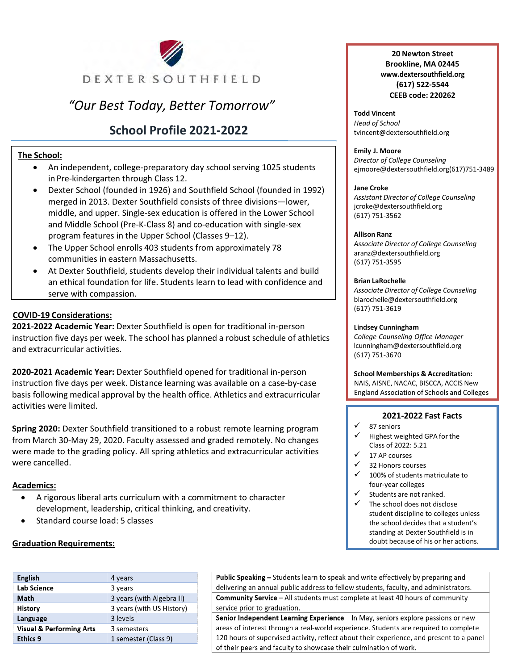

# *"Our Best Today, Better Tomorrow"*

# **School Profile 2021-2022**

# **The School:**

- An independent, college-preparatory day school serving 1025 students in Pre-kindergarten through Class 12.
- Dexter School (founded in 1926) and Southfield School (founded in 1992) merged in 2013. Dexter Southfield consists of three divisions—lower, middle, and upper. Single-sex education is offered in the Lower School and Middle School (Pre-K-Class 8) and co-education with single-sex program features in the Upper School (Classes 9–12).
- The Upper School enrolls 403 students from approximately 78 communities in eastern Massachusetts.
- At Dexter Southfield, students develop their individual talents and build an ethical foundation for life. Students learn to lead with confidence and serve with compassion.

# **COVID-19 Considerations:**

**2021-2022 Academic Year:** Dexter Southfield is open for traditional in-person instruction five days per week. The school has planned a robust schedule of athletics and extracurricular activities.

**2020-2021 Academic Year:** Dexter Southfield opened for traditional in-person instruction five days per week. Distance learning was available on a case-by-case basis following medical approval by the health office. Athletics and extracurricular activities were limited.

**Spring 2020:** Dexter Southfield transitioned to a robust remote learning program from March 30-May 29, 2020. Faculty assessed and graded remotely. No changes were made to the grading policy. All spring athletics and extracurricular activities were cancelled.

## **Academics:**

- A rigorous liberal arts curriculum with a commitment to character development, leadership, critical thinking, and creativity.
- Standard course load: 5 classes

## **Graduation Requirements:**

| <b>English</b>                      | 4 years                   |
|-------------------------------------|---------------------------|
| Lab Science                         | 3 years                   |
| Math                                | 3 years (with Algebra II) |
| History                             | 3 years (with US History) |
| Language                            | 3 levels                  |
| <b>Visual &amp; Performing Arts</b> | 3 semesters               |
| <b>Ethics 9</b>                     | 1 semester (Class 9)      |
|                                     |                           |

**20 Newton Street Brookline, MA 02445 [www.dextersouthfield.org](http://www.dextersouthfield.org/) (617) 522-5544 CEEB code: 220262**

**Todd Vincent** *Head of School* [tvincent@dextersouthfield.org](mailto:tvincent@dextersouthfield.org)

#### **Emily J. Moore**

*Director of College Counseling* [ejmoore@dexte](mailto:ejmoore@dextersouthfield.org)rs[outhfield.org](mailto:ejmoore@dextersouthfield.org)(617)751-3489

#### **Jane Croke**

*Assistant Director of College Counseling* [jcroke@dextersouthfield.org](mailto:jcroke@dextersouthfield.org) (617) 751-3562

#### **Allison Ranz**

*Associate Director of College Counseling* [aranz@dextersouthfield.org](mailto:aranz@dextersouthfield.org) (617) 751-3595

#### **Brian LaRochelle**

*Associate Director of College Counseling* [blarochelle@dextersouthfield.org](mailto:blarochelle@dextersouthfield.org) (617) 751-3619

#### **Lindsey Cunningham**

*College Counseling Office Manager* [lcunningham@dextersouthfield.org](mailto:lcunningham@dextersouthfield.org) (617) 751-3670

#### **School Memberships & Accreditation:**

NAIS, AISNE, NACAC, BISCCA, ACCIS New England Association of Schools and Colleges

## **2021-2022 Fast Facts**

- $\checkmark$  87 seniors
- $\checkmark$  Highest weighted GPA for the Class of 2022: 5.21
- $\checkmark$  17 AP courses
- $\checkmark$  32 Honors courses
- $\checkmark$  100% of students matriculate to four-year colleges
- Students are not ranked.
- $\checkmark$  The school does not disclose student discipline to colleges unless the school decides that a student's standing at Dexter Southfield is in doubt because of his or her actions.

Public Speaking - Students learn to speak and write effectively by preparing and delivering an annual public address to fellow students, faculty, and administrators. Community Service - All students must complete at least 40 hours of community service prior to graduation.

Senior Independent Learning Experience - In May, seniors explore passions or new areas of interest through a real-world experience. Students are required to complete 120 hours of supervised activity, reflect about their experience, and present to a panel of their peers and faculty to showcase their culmination of work.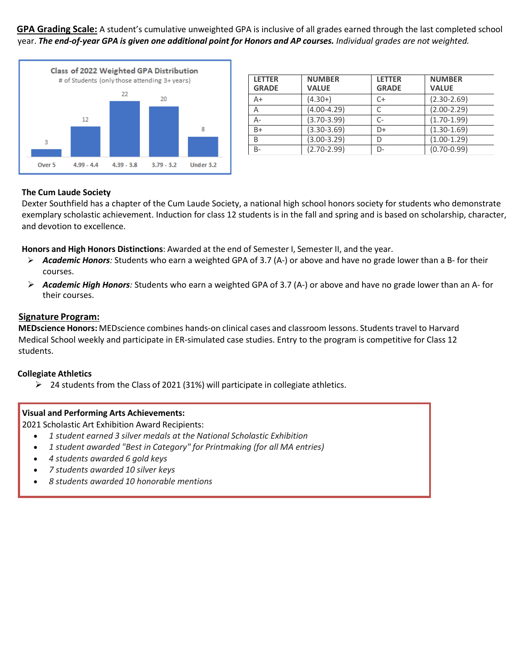**GPA Grading Scale:** A student's cumulative unweighted GPA is inclusive of all grades earned through the last completed school year. *The end-of-year GPA is given one additional point for Honors and AP courses. Individual grades are not weighted.*



| <b>LETTER</b><br><b>GRADE</b> | <b>NUMBER</b><br><b>VALUE</b> | <b>LETTER</b><br><b>GRADE</b> | <b>NUMBER</b><br><b>VALUE</b> |
|-------------------------------|-------------------------------|-------------------------------|-------------------------------|
| $A+$                          | $(4.30+)$                     | $C+$                          | $(2.30 - 2.69)$               |
| А                             | $(4.00 - 4.29)$               |                               | $(2.00 - 2.29)$               |
| $A -$                         | $(3.70 - 3.99)$               | С-                            | $(1.70 - 1.99)$               |
| $B+$                          | $(3.30 - 3.69)$               | $D+$                          | $(1.30 - 1.69)$               |
| B                             | $(3.00 - 3.29)$               | D                             | $(1.00-1.29)$                 |
| $B -$                         | $(2.70 - 2.99)$               | $D-$                          | $(0.70 - 0.99)$               |

# **The Cum Laude Society**

Dexter Southfield has a chapter of the Cum Laude Society, a national high school honors society for students who demonstrate exemplary scholastic achievement. Induction for class 12 students is in the fall and spring and is based on scholarship, character, and devotion to excellence.

**Honors and High Honors Distinctions**: Awarded at the end of Semester I, Semester II, and the year.

- *Academic Honors:* Students who earn a weighted GPA of 3.7 (A-) or above and have no grade lower than a B- for their courses.
- *Academic High Honors:* Students who earn a weighted GPA of 3.7 (A-) or above and have no grade lower than an A- for their courses.

# **Signature Program:**

**MEDscience Honors:** MEDscience combines hands-on clinical cases and classroom lessons. Studentstravel to Harvard Medical School weekly and participate in ER-simulated case studies. Entry to the program is competitive for Class 12 students.

## **Collegiate Athletics**

 $\geq$  24 students from the Class of 2021 (31%) will participate in collegiate athletics.

## **Visual and Performing Arts Achievements:**

2021 Scholastic Art Exhibition Award Recipients:

- *1 student earned 3 silver medals at the National Scholastic Exhibition*
- *1 student awarded "Best in Category" for Printmaking (for all MA entries)*
- *4 students awarded 6 gold keys*
- *7 students awarded 10 silver keys*
- *8 students awarded 10 honorable mentions*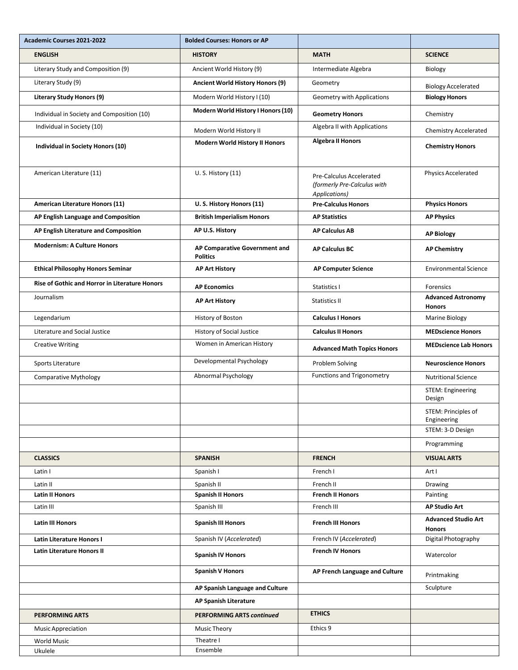| <b>Academic Courses 2021-2022</b>              | <b>Bolded Courses: Honors or AP</b>              |                                                                          |                                             |
|------------------------------------------------|--------------------------------------------------|--------------------------------------------------------------------------|---------------------------------------------|
| <b>ENGLISH</b>                                 | <b>HISTORY</b>                                   | <b>MATH</b>                                                              | <b>SCIENCE</b>                              |
| Literary Study and Composition (9)             | Ancient World History (9)                        | Intermediate Algebra                                                     | Biology                                     |
| Literary Study (9)                             | <b>Ancient World History Honors (9)</b>          | Geometry                                                                 | <b>Biology Accelerated</b>                  |
| <b>Literary Study Honors (9)</b>               | Modern World History I (10)                      | Geometry with Applications                                               | <b>Biology Honors</b>                       |
| Individual in Society and Composition (10)     | Modern World History I Honors (10)               | <b>Geometry Honors</b>                                                   | Chemistry                                   |
| Individual in Society (10)                     | Modern World History II                          | Algebra II with Applications                                             | <b>Chemistry Accelerated</b>                |
| Individual in Society Honors (10)              | Modern World History II Honors                   | <b>Algebra II Honors</b>                                                 | <b>Chemistry Honors</b>                     |
| American Literature (11)                       | U. S. History (11)                               | Pre-Calculus Accelerated<br>(formerly Pre-Calculus with<br>Applications) | <b>Physics Accelerated</b>                  |
| American Literature Honors (11)                | U.S. History Honors (11)                         | <b>Pre-Calculus Honors</b>                                               | <b>Physics Honors</b>                       |
| AP English Language and Composition            | <b>British Imperialism Honors</b>                | <b>AP Statistics</b>                                                     | <b>AP Physics</b>                           |
| AP English Literature and Composition          | AP U.S. History                                  | <b>AP Calculus AB</b>                                                    | <b>AP Biology</b>                           |
| <b>Modernism: A Culture Honors</b>             | AP Comparative Government and<br><b>Politics</b> | <b>AP Calculus BC</b>                                                    | <b>AP Chemistry</b>                         |
| <b>Ethical Philosophy Honors Seminar</b>       | <b>AP Art History</b>                            | <b>AP Computer Science</b>                                               | <b>Environmental Science</b>                |
| Rise of Gothic and Horror in Literature Honors | <b>AP Economics</b>                              | Statistics I                                                             | Forensics                                   |
| Journalism                                     | <b>AP Art History</b>                            | <b>Statistics II</b>                                                     | <b>Advanced Astronomy</b><br><b>Honors</b>  |
| Legendarium                                    | History of Boston                                | <b>Calculus I Honors</b>                                                 | Marine Biology                              |
| Literature and Social Justice                  | History of Social Justice                        | <b>Calculus II Honors</b>                                                | <b>MEDscience Honors</b>                    |
| <b>Creative Writing</b>                        | Women in American History                        | <b>Advanced Math Topics Honors</b>                                       | <b>MEDscience Lab Honors</b>                |
| Sports Literature                              | Developmental Psychology                         | Problem Solving                                                          | <b>Neuroscience Honors</b>                  |
| <b>Comparative Mythology</b>                   | Abnormal Psychology                              | <b>Functions and Trigonometry</b>                                        | <b>Nutritional Science</b>                  |
|                                                |                                                  |                                                                          | <b>STEM: Engineering</b><br>Design          |
|                                                |                                                  |                                                                          | STEM: Principles of<br>Engineering          |
|                                                |                                                  |                                                                          | STEM: 3-D Design                            |
|                                                |                                                  |                                                                          | Programming                                 |
| <b>CLASSICS</b>                                | <b>SPANISH</b>                                   | <b>FRENCH</b>                                                            | <b>VISUAL ARTS</b>                          |
| Latin I                                        | Spanish I                                        | French I                                                                 | Art I                                       |
| Latin II                                       | Spanish II                                       | French II                                                                | Drawing                                     |
| <b>Latin II Honors</b>                         | <b>Spanish II Honors</b>                         | <b>French II Honors</b>                                                  | Painting                                    |
| Latin III                                      | Spanish III                                      | French III                                                               | <b>AP Studio Art</b>                        |
| <b>Latin III Honors</b>                        | <b>Spanish III Honors</b>                        | <b>French III Honors</b>                                                 | <b>Advanced Studio Art</b><br><b>Honors</b> |
| Latin Literature Honors I                      | Spanish IV (Accelerated)                         | French IV (Accelerated)                                                  | Digital Photography                         |
| Latin Literature Honors II                     | <b>Spanish IV Honors</b>                         | <b>French IV Honors</b>                                                  | Watercolor                                  |
|                                                | <b>Spanish V Honors</b>                          | AP French Language and Culture                                           | Printmaking                                 |
|                                                | AP Spanish Language and Culture                  |                                                                          | Sculpture                                   |
|                                                | AP Spanish Literature                            |                                                                          |                                             |
| <b>PERFORMING ARTS</b>                         | PERFORMING ARTS continued                        | <b>ETHICS</b>                                                            |                                             |
| <b>Music Appreciation</b>                      | Music Theory                                     | Ethics 9                                                                 |                                             |
| <b>World Music</b>                             | Theatre I                                        |                                                                          |                                             |
| Ukulele                                        | Ensemble                                         |                                                                          |                                             |